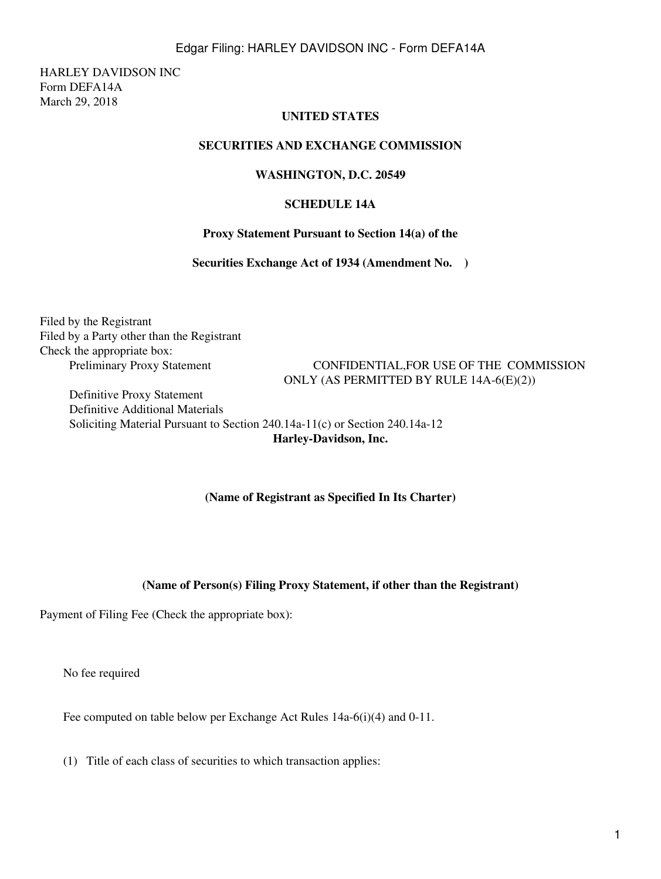# Edgar Filing: HARLEY DAVIDSON INC - Form DEFA14A

HARLEY DAVIDSON INC Form DEFA14A March 29, 2018

# **UNITED STATES**

## **SECURITIES AND EXCHANGE COMMISSION**

## **WASHINGTON, D.C. 20549**

## **SCHEDULE 14A**

#### **Proxy Statement Pursuant to Section 14(a) of the**

**Securities Exchange Act of 1934 (Amendment No. )**

Filed by the Registrant Filed by a Party other than the Registrant Check the appropriate box:

**Preliminary Proxy Statement CONFIDENTIAL, FOR USE OF THE COMMISSION** ONLY (AS PERMITTED BY RULE 14A-6(E)(2))

☐   Definitive Proxy Statement ☒   Definitive Additional Materials Soliciting Material Pursuant to Section 240.14a-11(c) or Section 240.14a-12

**Harley-Davidson, Inc.**

## **(Name of Registrant as Specified In Its Charter)**

## **(Name of Person(s) Filing Proxy Statement, if other than the Registrant)**

Payment of Filing Fee (Check the appropriate box):

No fee required

Fee computed on table below per Exchange Act Rules 14a-6(i)(4) and 0-11.

(1) Title of each class of securities to which transaction applies: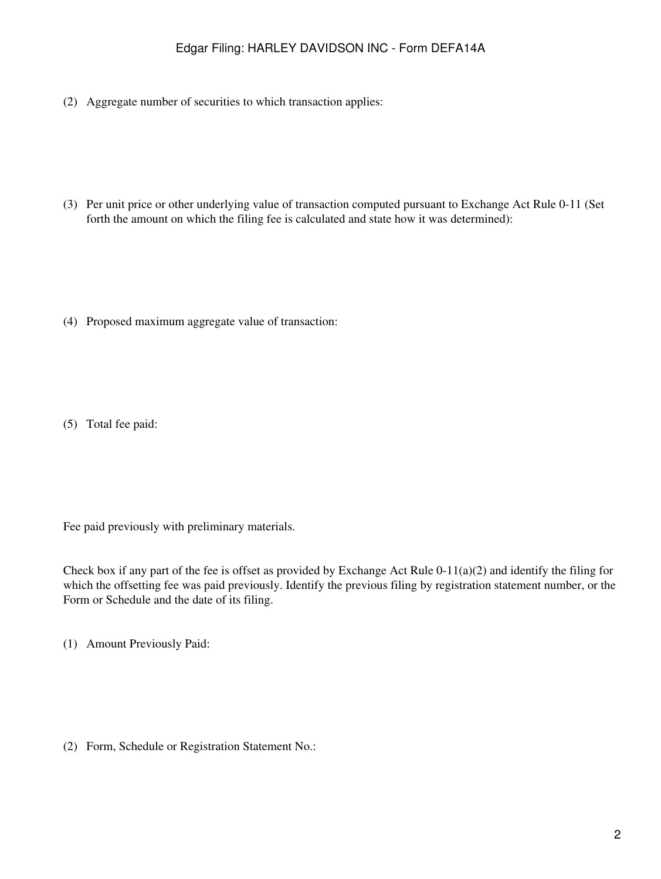# Edgar Filing: HARLEY DAVIDSON INC - Form DEFA14A

(2) Aggregate number of securities to which transaction applies:

(3) Per unit price or other underlying value of transaction computed pursuant to Exchange Act Rule 0-11 (Set forth the amount on which the filing fee is calculated and state how it was determined):

(4) Proposed maximum aggregate value of transaction:

(5) Total fee paid:

Fee paid previously with preliminary materials.

Check box if any part of the fee is offset as provided by Exchange Act Rule 0-11(a)(2) and identify the filing for which the offsetting fee was paid previously. Identify the previous filing by registration statement number, or the Form or Schedule and the date of its filing.

(1) Amount Previously Paid:

(2) Form, Schedule or Registration Statement No.: